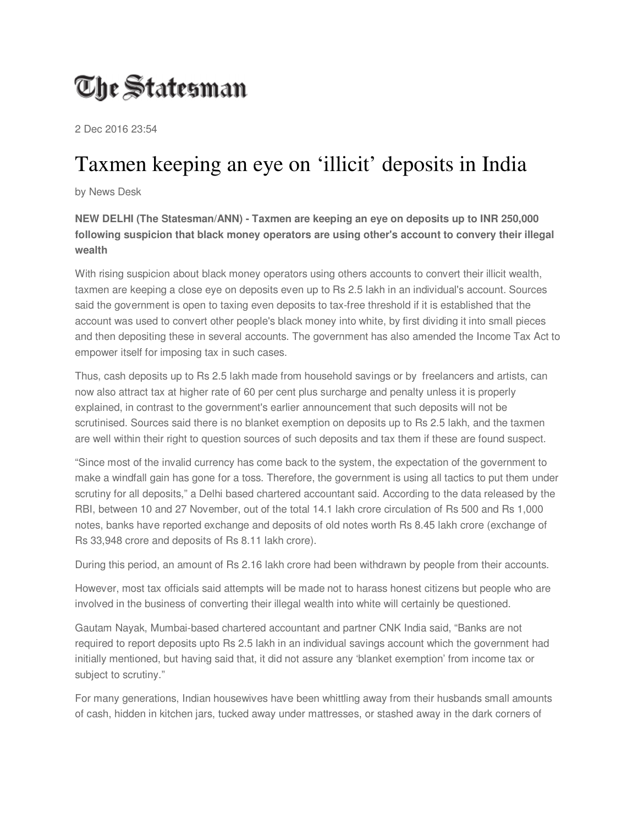## The Statesman

2 Dec 2016 23:54

## Taxmen keeping an eye on 'illicit' deposits in India

by News Desk

**NEW DELHI (The Statesman/ANN) - Taxmen are keeping an eye on deposits up to INR 250,000 following suspicion that black money operators are using other's account to convery their illegal wealth** 

With rising suspicion about black money operators using others accounts to convert their illicit wealth, taxmen are keeping a close eye on deposits even up to Rs 2.5 lakh in an individual's account. Sources said the government is open to taxing even deposits to tax-free threshold if it is established that the account was used to convert other people's black money into white, by first dividing it into small pieces and then depositing these in several accounts. The government has also amended the Income Tax Act to empower itself for imposing tax in such cases.

Thus, cash deposits up to Rs 2.5 lakh made from household savings or by freelancers and artists, can now also attract tax at higher rate of 60 per cent plus surcharge and penalty unless it is properly explained, in contrast to the government's earlier announcement that such deposits will not be scrutinised. Sources said there is no blanket exemption on deposits up to Rs 2.5 lakh, and the taxmen are well within their right to question sources of such deposits and tax them if these are found suspect.

"Since most of the invalid currency has come back to the system, the expectation of the government to make a windfall gain has gone for a toss. Therefore, the government is using all tactics to put them under scrutiny for all deposits," a Delhi based chartered accountant said. According to the data released by the RBI, between 10 and 27 November, out of the total 14.1 lakh crore circulation of Rs 500 and Rs 1,000 notes, banks have reported exchange and deposits of old notes worth Rs 8.45 lakh crore (exchange of Rs 33,948 crore and deposits of Rs 8.11 lakh crore).

During this period, an amount of Rs 2.16 lakh crore had been withdrawn by people from their accounts.

However, most tax officials said attempts will be made not to harass honest citizens but people who are involved in the business of converting their illegal wealth into white will certainly be questioned.

Gautam Nayak, Mumbai-based chartered accountant and partner CNK India said, "Banks are not required to report deposits upto Rs 2.5 lakh in an individual savings account which the government had initially mentioned, but having said that, it did not assure any 'blanket exemption' from income tax or subject to scrutiny."

For many generations, Indian housewives have been whittling away from their husbands small amounts of cash, hidden in kitchen jars, tucked away under mattresses, or stashed away in the dark corners of